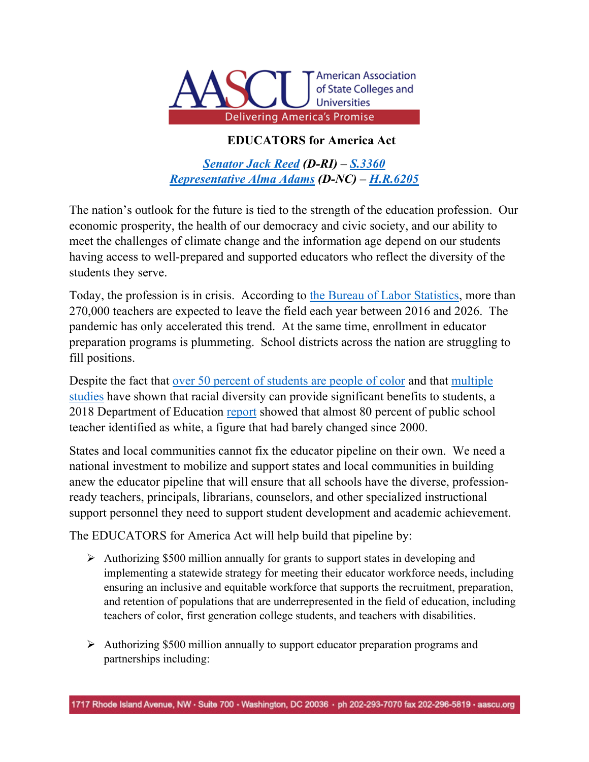

## **EDUCATORS for America Act**

*[Senator Jack Reed](https://www.reed.senate.gov/news/releases/educators-for-america-act-aims-to-strengthen-educator-workforce-and-address-school-staffing-shortages-through-programs-to-recruit-train-support_retain-effective-teachers) (D-RI) – [S.3360](https://www.congress.gov/bill/117th-congress/senate-bill/3360/) [Representative Alma Adams](https://adams.house.gov/media-center/press-releases/adams-reed-casey-axne-gallego-hayes-introduce-educators-america-act) (D-NC) – [H.R.6205](https://www.congress.gov/bill/117th-congress/house-bill/6205?r=1&s=1)*

The nation's outlook for the future is tied to the strength of the education profession. Our economic prosperity, the health of our democracy and civic society, and our ability to meet the challenges of climate change and the information age depend on our students having access to well-prepared and supported educators who reflect the diversity of the students they serve.

Today, the profession is in crisis. According to [the Bureau of Labor Statistics,](https://www.bls.gov/careeroutlook/2018/data-on-display/how-many-teachers-are-leaving.htm) more than 270,000 teachers are expected to leave the field each year between 2016 and 2026. The pandemic has only accelerated this trend. At the same time, enrollment in educator preparation programs is plummeting. School districts across the nation are struggling to fill positions.

Despite the fact that [over 50 percent of students are people of color](https://nces.ed.gov/programs/coe/pdf/coe_cge.pdf) and that [multiple](https://kappanonline.org/why-we-need-diverse-teacher-workforce-segregation-goldhaber-theobald-tien/)  [studies](https://kappanonline.org/why-we-need-diverse-teacher-workforce-segregation-goldhaber-theobald-tien/) have shown that racial diversity can provide significant benefits to students, a 2018 Department of Education [report](https://nces.ed.gov/pubs2020/2020103/index.asp) showed that almost 80 percent of public school teacher identified as white, a figure that had barely changed since 2000.

States and local communities cannot fix the educator pipeline on their own. We need a national investment to mobilize and support states and local communities in building anew the educator pipeline that will ensure that all schools have the diverse, professionready teachers, principals, librarians, counselors, and other specialized instructional support personnel they need to support student development and academic achievement.

The EDUCATORS for America Act will help build that pipeline by:

- $\triangleright$  Authorizing \$500 million annually for grants to support states in developing and implementing a statewide strategy for meeting their educator workforce needs, including ensuring an inclusive and equitable workforce that supports the recruitment, preparation, and retention of populations that are underrepresented in the field of education, including teachers of color, first generation college students, and teachers with disabilities.
- $\triangleright$  Authorizing \$500 million annually to support educator preparation programs and partnerships including: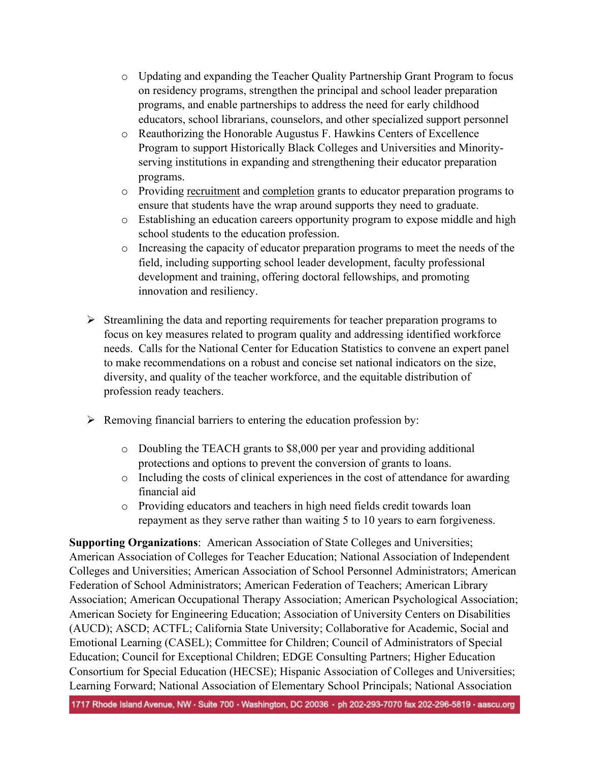- o Updating and expanding the Teacher Quality Partnership Grant Program to focus on residency programs, strengthen the principal and school leader preparation programs, and enable partnerships to address the need for early childhood educators, school librarians, counselors, and other specialized support personnel
- o Reauthorizing the Honorable Augustus F. Hawkins Centers of Excellence Program to support Historically Black Colleges and Universities and Minorityserving institutions in expanding and strengthening their educator preparation programs.
- o Providing recruitment and completion grants to educator preparation programs to ensure that students have the wrap around supports they need to graduate.
- o Establishing an education careers opportunity program to expose middle and high school students to the education profession.
- o Increasing the capacity of educator preparation programs to meet the needs of the field, including supporting school leader development, faculty professional development and training, offering doctoral fellowships, and promoting innovation and resiliency.
- $\triangleright$  Streamlining the data and reporting requirements for teacher preparation programs to focus on key measures related to program quality and addressing identified workforce needs. Calls for the National Center for Education Statistics to convene an expert panel to make recommendations on a robust and concise set national indicators on the size, diversity, and quality of the teacher workforce, and the equitable distribution of profession ready teachers.
- $\triangleright$  Removing financial barriers to entering the education profession by:
	- o Doubling the TEACH grants to \$8,000 per year and providing additional protections and options to prevent the conversion of grants to loans.
	- o Including the costs of clinical experiences in the cost of attendance for awarding financial aid
	- o Providing educators and teachers in high need fields credit towards loan repayment as they serve rather than waiting 5 to 10 years to earn forgiveness.

**Supporting Organizations**: American Association of State Colleges and Universities; American Association of Colleges for Teacher Education; National Association of Independent Colleges and Universities; American Association of School Personnel Administrators; American Federation of School Administrators; American Federation of Teachers; American Library Association; American Occupational Therapy Association; American Psychological Association; American Society for Engineering Education; Association of University Centers on Disabilities (AUCD); ASCD; ACTFL; California State University; Collaborative for Academic, Social and Emotional Learning (CASEL); Committee for Children; Council of Administrators of Special Education; Council for Exceptional Children; EDGE Consulting Partners; Higher Education Consortium for Special Education (HECSE); Hispanic Association of Colleges and Universities; Learning Forward; National Association of Elementary School Principals; National Association